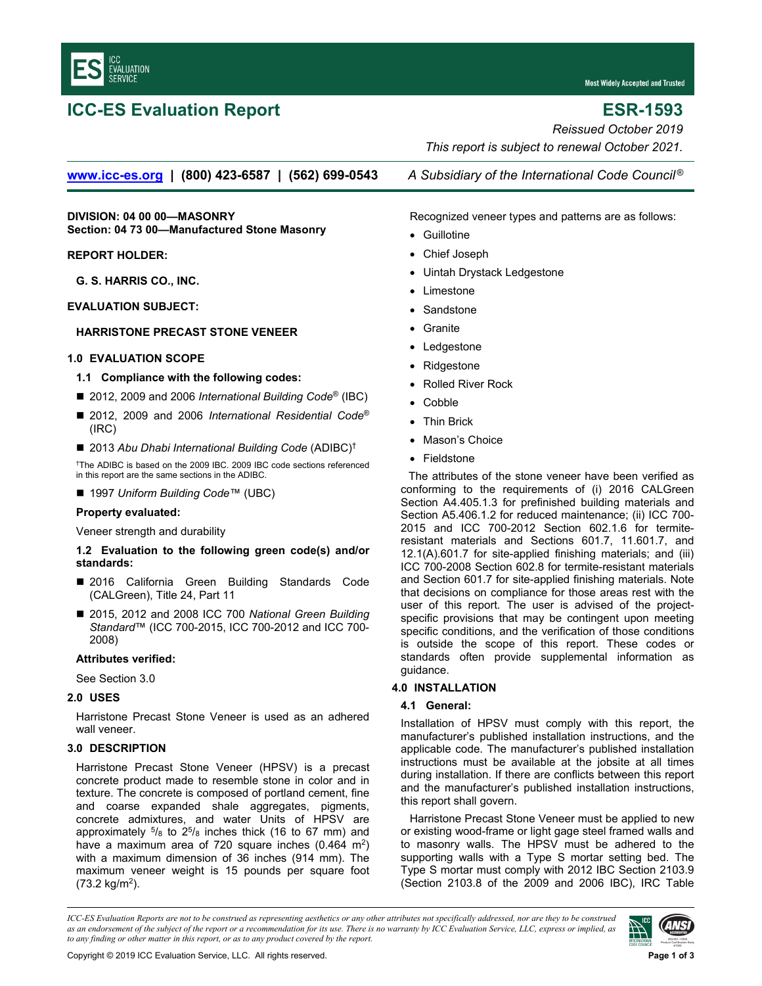

# **ICC-ES Evaluation Report ESR-1593**

**Most Widely Accepted and Trusted** 

*Reissued October 2019 This report is subject to renewal October 2021.* 

**[www.icc-es.org](http://www.icc-es.org/) | (800) 423-6587 | (562) 699-0543** *A Subsidiary of the International Code Council ®*

**DIVISION: 04 00 00—MASONRY Section: 04 73 00—Manufactured Stone Masonry** 

# **REPORT HOLDER:**

**G. S. HARRIS CO., INC.** 

# **EVALUATION SUBJECT:**

# **[HARRISTONE PREC](http://www.harristone.com/)AST STONE VENEER**

# **1.0 EVALUATION SCOPE**

# **1.1 Compliance with the following codes:**

- 2012, 2009 and 2006 *International Building Code<sup>®</sup>* (IBC)
- 2012, 2009 and 2006 *International Residential Code<sup>®</sup>* (IRC)
- 2013 Abu Dhabi International Building Code (ADIBC)<sup>†</sup>

†The ADIBC is based on the 2009 IBC. 2009 IBC code sections referenced in this report are the same sections in the ADIBC.

# ■ 1997 *Uniform Building Code*™ (UBC)

# **Property evaluated:**

Veneer strength and durability

# **1.2 Evaluation to the following green code(s) and/or standards:**

- 2016 California Green Building Standards Code (CALGreen), Title 24, Part 11
- 2015, 2012 and 2008 ICC 700 *National Green Building Standard*™ (ICC 700-2015, ICC 700-2012 and ICC 700- 2008)

#### **Attributes verified:**

See Section 3.0

# **2.0 USES**

Harristone Precast Stone Veneer is used as an adhered wall veneer.

# **3.0 DESCRIPTION**

Harristone Precast Stone Veneer (HPSV) is a precast concrete product made to resemble stone in color and in texture. The concrete is composed of portland cement, fine and coarse expanded shale aggregates, pigments, concrete admixtures, and water Units of HPSV are approximately  $5/8$  to  $25/8$  inches thick (16 to 67 mm) and have a maximum area of  $720$  square inches  $(0.464 \text{ m}^2)$ with a maximum dimension of 36 inches (914 mm). The maximum veneer weight is 15 pounds per square foot (73.2 kg/m2).

Recognized veneer types and patterns are as follows:

- Guillotine
- Chief Joseph
- Uintah Drystack Ledgestone
- Limestone
- Sandstone
- Granite
- Ledgestone
- Ridgestone
- Rolled River Rock
- Cobble
- Thin Brick
- Mason's Choice
- Fieldstone

The attributes of the stone veneer have been verified as conforming to the requirements of (i) 2016 CALGreen Section A4.405.1.3 for prefinished building materials and Section A5.406.1.2 for reduced maintenance; (ii) ICC 700-2015 and ICC 700-2012 Section 602.1.6 for termiteresistant materials and Sections 601.7, 11.601.7, and 12.1(A).601.7 for site-applied finishing materials; and (iii) ICC 700-2008 Section 602.8 for termite-resistant materials and Section 601.7 for site-applied finishing materials. Note that decisions on compliance for those areas rest with the user of this report. The user is advised of the projectspecific provisions that may be contingent upon meeting specific conditions, and the verification of those conditions is outside the scope of this report. These codes or standards often provide supplemental information as guidance.

# **4.0 INSTALLATION**

# **4.1 General:**

Installation of HPSV must comply with this report, the manufacturer's published installation instructions, and the applicable code. The manufacturer's published installation instructions must be available at the jobsite at all times during installation. If there are conflicts between this report and the manufacturer's published installation instructions, this report shall govern.

Harristone Precast Stone Veneer must be applied to new or existing wood-frame or light gage steel framed walls and to masonry walls. The HPSV must be adhered to the supporting walls with a Type S mortar setting bed. The Type S mortar must comply with 2012 IBC Section 2103.9 (Section 2103.8 of the 2009 and 2006 IBC), IRC Table

*ICC-ES Evaluation Reports are not to be construed as representing aesthetics or any other attributes not specifically addressed, nor are they to be construed as an endorsement of the subject of the report or a recommendation for its use. There is no warranty by ICC Evaluation Service, LLC, express or implied, as to any finding or other matter in this report, or as to any product covered by the report.*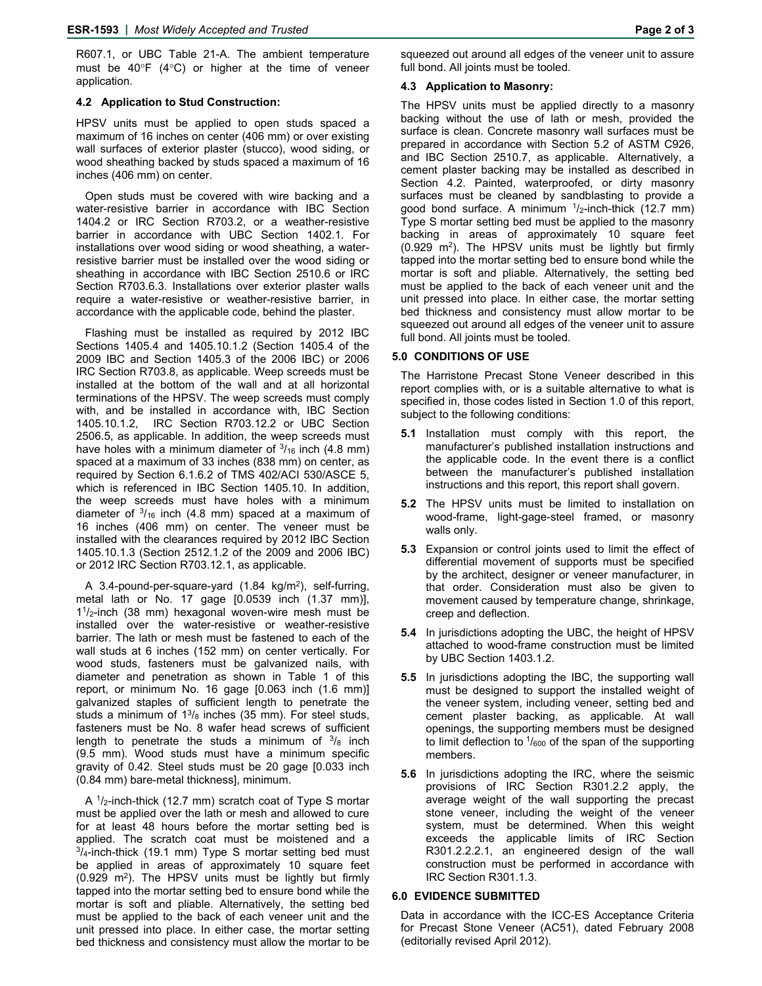R607.1, or UBC Table 21-A. The ambient temperature must be  $40^{\circ}F$  (4 $^{\circ}C$ ) or higher at the time of veneer application.

#### **4.2 Application to Stud Construction:**

HPSV units must be applied to open studs spaced a maximum of 16 inches on center (406 mm) or over existing wall surfaces of exterior plaster (stucco), wood siding, or wood sheathing backed by studs spaced a maximum of 16 inches (406 mm) on center.

Open studs must be covered with wire backing and a water-resistive barrier in accordance with IBC Section 1404.2 or IRC Section R703.2, or a weather-resistive barrier in accordance with UBC Section 1402.1. For installations over wood siding or wood sheathing, a waterresistive barrier must be installed over the wood siding or sheathing in accordance with IBC Section 2510.6 or IRC Section R703.6.3. Installations over exterior plaster walls require a water-resistive or weather-resistive barrier, in accordance with the applicable code, behind the plaster.

Flashing must be installed as required by 2012 IBC Sections 1405.4 and 1405.10.1.2 (Section 1405.4 of the 2009 IBC and Section 1405.3 of the 2006 IBC) or 2006 IRC Section R703.8, as applicable. Weep screeds must be installed at the bottom of the wall and at all horizontal terminations of the HPSV. The weep screeds must comply with, and be installed in accordance with, IBC Section 1405.10.1.2, IRC Section R703.12.2 or UBC Section 2506.5, as applicable. In addition, the weep screeds must have holes with a minimum diameter of  $\frac{3}{16}$  inch (4.8 mm) spaced at a maximum of 33 inches (838 mm) on center, as required by Section 6.1.6.2 of TMS 402/ACI 530/ASCE 5, which is referenced in IBC Section 1405.10. In addition, the weep screeds must have holes with a minimum diameter of  $3/16$  inch (4.8 mm) spaced at a maximum of 16 inches (406 mm) on center. The veneer must be installed with the clearances required by 2012 IBC Section 1405.10.1.3 (Section 2512.1.2 of the 2009 and 2006 IBC) or 2012 IRC Section R703.12.1, as applicable.

A 3.4-pound-per-square-yard (1.84 kg/m2), self-furring, metal lath or No. 17 gage [0.0539 inch (1.37 mm)],  $1<sup>1</sup>/2$ -inch (38 mm) hexagonal woven-wire mesh must be installed over the water-resistive or weather-resistive barrier. The lath or mesh must be fastened to each of the wall studs at 6 inches (152 mm) on center vertically. For wood studs, fasteners must be galvanized nails, with diameter and penetration as shown in Table 1 of this report, or minimum No. 16 gage [0.063 inch (1.6 mm)] galvanized staples of sufficient length to penetrate the studs a minimum of  $1^{3}/_8$  inches (35 mm). For steel studs, fasteners must be No. 8 wafer head screws of sufficient length to penetrate the studs a minimum of  $3/8$  inch (9.5 mm). Wood studs must have a minimum specific gravity of 0.42. Steel studs must be 20 gage [0.033 inch (0.84 mm) bare-metal thickness], minimum.

A 1/2-inch-thick (12.7 mm) scratch coat of Type S mortar must be applied over the lath or mesh and allowed to cure for at least 48 hours before the mortar setting bed is applied. The scratch coat must be moistened and a  $\frac{3}{4}$ -inch-thick (19.1 mm) Type S mortar setting bed must be applied in areas of approximately 10 square feet  $(0.929 \, \text{m}^2)$ . The HPSV units must be lightly but firmly tapped into the mortar setting bed to ensure bond while the mortar is soft and pliable. Alternatively, the setting bed must be applied to the back of each veneer unit and the unit pressed into place. In either case, the mortar setting bed thickness and consistency must allow the mortar to be

# **4.3 Application to Masonry:**

The HPSV units must be applied directly to a masonry backing without the use of lath or mesh, provided the surface is clean. Concrete masonry wall surfaces must be prepared in accordance with Section 5.2 of ASTM C926, and IBC Section 2510.7, as applicable. Alternatively, a cement plaster backing may be installed as described in Section 4.2. Painted, waterproofed, or dirty masonry surfaces must be cleaned by sandblasting to provide a good bond surface. A minimum  $\frac{1}{2}$ -inch-thick (12.7 mm) Type S mortar setting bed must be applied to the masonry backing in areas of approximately 10 square feet  $(0.929 \, \text{m}^2)$ . The HPSV units must be lightly but firmly tapped into the mortar setting bed to ensure bond while the mortar is soft and pliable. Alternatively, the setting bed must be applied to the back of each veneer unit and the unit pressed into place. In either case, the mortar setting bed thickness and consistency must allow mortar to be squeezed out around all edges of the veneer unit to assure full bond. All joints must be tooled.

# **5.0 CONDITIONS OF USE**

The Harristone Precast Stone Veneer described in this report complies with, or is a suitable alternative to what is specified in, those codes listed in Section 1.0 of this report, subject to the following conditions:

- **5.1** Installation must comply with this report, the manufacturer's published installation instructions and the applicable code. In the event there is a conflict between the manufacturer's published installation instructions and this report, this report shall govern.
- **5.2** The HPSV units must be limited to installation on wood-frame, light-gage-steel framed, or masonry walls only.
- **5.3** Expansion or control joints used to limit the effect of differential movement of supports must be specified by the architect, designer or veneer manufacturer, in that order. Consideration must also be given to movement caused by temperature change, shrinkage, creep and deflection.
- **5.4** In jurisdictions adopting the UBC, the height of HPSV attached to wood-frame construction must be limited by UBC Section 1403.1.2.
- **5.5** In jurisdictions adopting the IBC, the supporting wall must be designed to support the installed weight of the veneer system, including veneer, setting bed and cement plaster backing, as applicable. At wall openings, the supporting members must be designed to limit deflection to  $\frac{1}{600}$  of the span of the supporting members.
- **5.6** In jurisdictions adopting the IRC, where the seismic provisions of IRC Section R301.2.2 apply, the average weight of the wall supporting the precast stone veneer, including the weight of the veneer system, must be determined. When this weight exceeds the applicable limits of IRC Section R301.2.2.2.1, an engineered design of the wall construction must be performed in accordance with IRC Section R301.1.3.

# **6.0 EVIDENCE SUBMITTED**

Data in accordance with the ICC-ES Acceptance Criteria for Precast Stone Veneer (AC51), dated February 2008 (editorially revised April 2012).